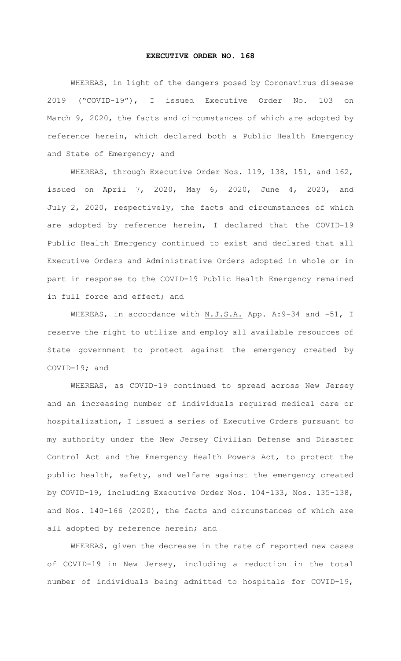## **EXECUTIVE ORDER NO. 168**

WHEREAS, in light of the dangers posed by Coronavirus disease 2019 ("COVID-19"), I issued Executive Order No. 103 on March 9, 2020, the facts and circumstances of which are adopted by reference herein, which declared both a Public Health Emergency and State of Emergency; and

WHEREAS, through Executive Order Nos. 119, 138, 151, and 162, issued on April 7, 2020, May 6, 2020, June 4, 2020, and July 2, 2020, respectively, the facts and circumstances of which are adopted by reference herein, I declared that the COVID-19 Public Health Emergency continued to exist and declared that all Executive Orders and Administrative Orders adopted in whole or in part in response to the COVID-19 Public Health Emergency remained in full force and effect; and

WHEREAS, in accordance with N.J.S.A. App. A: 9-34 and -51, I reserve the right to utilize and employ all available resources of State government to protect against the emergency created by COVID-19; and

WHEREAS, as COVID-19 continued to spread across New Jersey and an increasing number of individuals required medical care or hospitalization, I issued a series of Executive Orders pursuant to my authority under the New Jersey Civilian Defense and Disaster Control Act and the Emergency Health Powers Act, to protect the public health, safety, and welfare against the emergency created by COVID-19, including Executive Order Nos. 104-133, Nos. 135-138, and Nos. 140-166 (2020), the facts and circumstances of which are all adopted by reference herein; and

WHEREAS, given the decrease in the rate of reported new cases of COVID-19 in New Jersey, including a reduction in the total number of individuals being admitted to hospitals for COVID-19,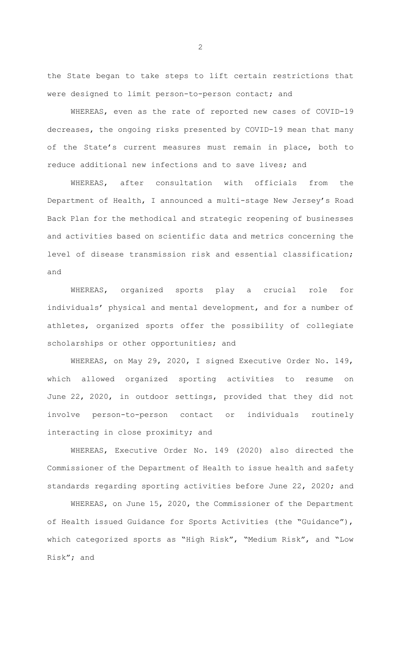the State began to take steps to lift certain restrictions that were designed to limit person-to-person contact; and

WHEREAS, even as the rate of reported new cases of COVID-19 decreases, the ongoing risks presented by COVID-19 mean that many of the State's current measures must remain in place, both to reduce additional new infections and to save lives; and

WHEREAS, after consultation with officials from the Department of Health, I announced a multi-stage New Jersey's Road Back Plan for the methodical and strategic reopening of businesses and activities based on scientific data and metrics concerning the level of disease transmission risk and essential classification; and

WHEREAS, organized sports play a crucial role for individuals' physical and mental development, and for a number of athletes, organized sports offer the possibility of collegiate scholarships or other opportunities; and

WHEREAS, on May 29, 2020, I signed Executive Order No. 149, which allowed organized sporting activities to resume on June 22, 2020, in outdoor settings, provided that they did not involve person-to-person contact or individuals routinely interacting in close proximity; and

WHEREAS, Executive Order No. 149 (2020) also directed the Commissioner of the Department of Health to issue health and safety standards regarding sporting activities before June 22, 2020; and

WHEREAS, on June 15, 2020, the Commissioner of the Department of Health issued Guidance for Sports Activities (the "Guidance"), which categorized sports as "High Risk", "Medium Risk", and "Low Risk"; and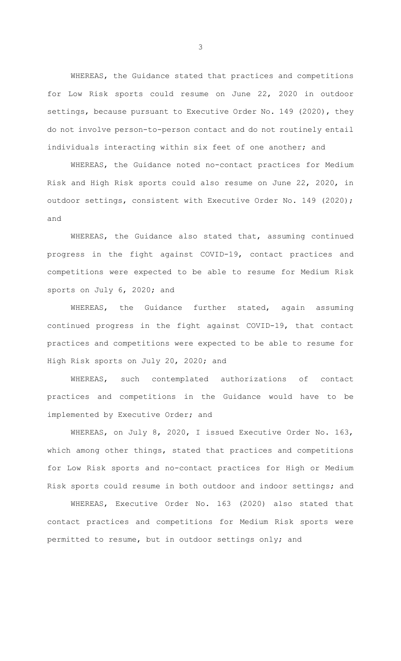WHEREAS, the Guidance stated that practices and competitions for Low Risk sports could resume on June 22, 2020 in outdoor settings, because pursuant to Executive Order No. 149 (2020), they do not involve person-to-person contact and do not routinely entail individuals interacting within six feet of one another; and

WHEREAS, the Guidance noted no-contact practices for Medium Risk and High Risk sports could also resume on June 22, 2020, in outdoor settings, consistent with Executive Order No. 149 (2020); and

WHEREAS, the Guidance also stated that, assuming continued progress in the fight against COVID-19, contact practices and competitions were expected to be able to resume for Medium Risk sports on July 6, 2020; and

WHEREAS, the Guidance further stated, again assuming continued progress in the fight against COVID-19, that contact practices and competitions were expected to be able to resume for High Risk sports on July 20, 2020; and

WHEREAS, such contemplated authorizations of contact practices and competitions in the Guidance would have to be implemented by Executive Order; and

WHEREAS, on July 8, 2020, I issued Executive Order No. 163, which among other things, stated that practices and competitions for Low Risk sports and no-contact practices for High or Medium Risk sports could resume in both outdoor and indoor settings; and

WHEREAS, Executive Order No. 163 (2020) also stated that contact practices and competitions for Medium Risk sports were permitted to resume, but in outdoor settings only; and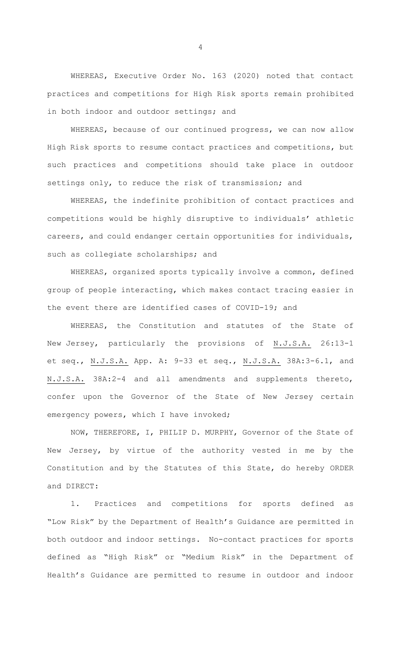WHEREAS, Executive Order No. 163 (2020) noted that contact practices and competitions for High Risk sports remain prohibited in both indoor and outdoor settings; and

WHEREAS, because of our continued progress, we can now allow High Risk sports to resume contact practices and competitions, but such practices and competitions should take place in outdoor settings only, to reduce the risk of transmission; and

WHEREAS, the indefinite prohibition of contact practices and competitions would be highly disruptive to individuals' athletic careers, and could endanger certain opportunities for individuals, such as collegiate scholarships; and

WHEREAS, organized sports typically involve a common, defined group of people interacting, which makes contact tracing easier in the event there are identified cases of COVID-19; and

WHEREAS, the Constitution and statutes of the State of New Jersey, particularly the provisions of N.J.S.A. 26:13-1 et seq., N.J.S.A. App. A: 9-33 et seq., N.J.S.A. 38A:3-6.1, and N.J.S.A. 38A:2-4 and all amendments and supplements thereto, confer upon the Governor of the State of New Jersey certain emergency powers, which I have invoked;

NOW, THEREFORE, I, PHILIP D. MURPHY, Governor of the State of New Jersey, by virtue of the authority vested in me by the Constitution and by the Statutes of this State, do hereby ORDER and DIRECT:

1. Practices and competitions for sports defined as "Low Risk" by the Department of Health's Guidance are permitted in both outdoor and indoor settings. No-contact practices for sports defined as "High Risk" or "Medium Risk" in the Department of Health's Guidance are permitted to resume in outdoor and indoor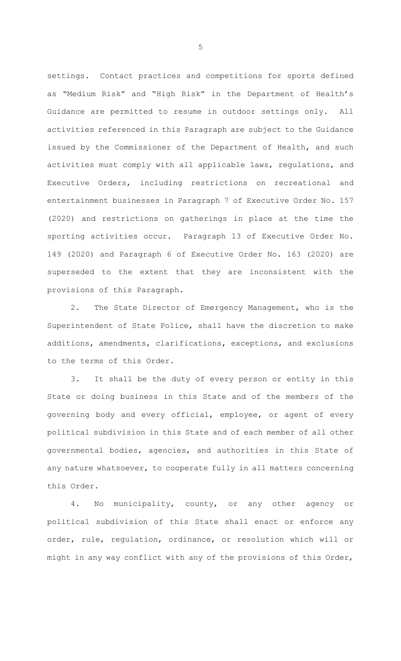settings. Contact practices and competitions for sports defined as "Medium Risk" and "High Risk" in the Department of Health's Guidance are permitted to resume in outdoor settings only. All activities referenced in this Paragraph are subject to the Guidance issued by the Commissioner of the Department of Health, and such activities must comply with all applicable laws, regulations, and Executive Orders, including restrictions on recreational and entertainment businesses in Paragraph 7 of Executive Order No. 157 (2020) and restrictions on gatherings in place at the time the sporting activities occur. Paragraph 13 of Executive Order No. 149 (2020) and Paragraph 6 of Executive Order No. 163 (2020) are superseded to the extent that they are inconsistent with the provisions of this Paragraph.

2. The State Director of Emergency Management, who is the Superintendent of State Police, shall have the discretion to make additions, amendments, clarifications, exceptions, and exclusions to the terms of this Order.

3. It shall be the duty of every person or entity in this State or doing business in this State and of the members of the governing body and every official, employee, or agent of every political subdivision in this State and of each member of all other governmental bodies, agencies, and authorities in this State of any nature whatsoever, to cooperate fully in all matters concerning this Order.

4. No municipality, county, or any other agency or political subdivision of this State shall enact or enforce any order, rule, regulation, ordinance, or resolution which will or might in any way conflict with any of the provisions of this Order,